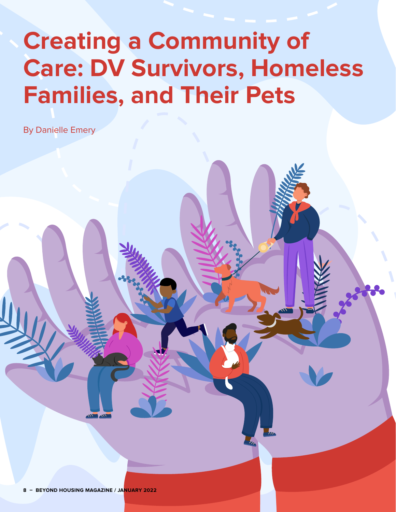# **Creating a Community of Care: DV Survivors, Homeless Families, and Their Pets**

By Danielle Emery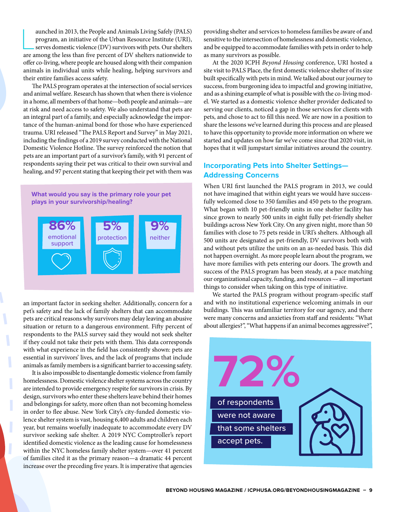aunched in 2013, the People and Animals Living Safely (PALS) program, an initiative of the Urban Resource Institute (URI), serves domestic violence (DV) survivors with pets. Our shelters are among the less than five percen aunched in 2013, the People and Animals Living Safely (PALS) program, an initiative of the Urban Resource Institute (URI), serves domestic violence (DV) survivors with pets. Our shelters offer co-living, where people are housed along with their companion animals in individual units while healing, helping survivors and their entire families access safety.

The PALS program operates at the intersection of social services and animal welfare. Research has shown that when there is violence in a home, all members of that home—both people and animals—are at risk and need access to safety. We also understand that pets are an integral part of a family, and especially acknowledge the importance of the human-animal bond for those who have experienced trauma. URI released "The PALS Report and Survey" in May 2021, including the findings of a 2019 survey conducted with the National Domestic Violence Hotline. The survey reinforced the notion that pets are an important part of a survivor's family, with 91 percent of respondents saying their pet was critical to their own survival and healing, and 97 percent stating that keeping their pet with them was



an important factor in seeking shelter. Additionally, concern for a pet's safety and the lack of family shelters that can accommodate pets are critical reasons why survivors may delay leaving an abusive situation or return to a dangerous environment. Fifty percent of respondents to the PALS survey said they would not seek shelter if they could not take their pets with them. This data corresponds with what experience in the field has consistently shown: pets are essential in survivors' lives, and the lack of programs that include animals as family members is a significant barrier to accessing safety.

It is also impossible to disentangle domestic violence from family homelessness. Domestic violence shelter systems across the country are intended to provide emergency respite for survivors in crisis. By design, survivors who enter these shelters leave behind their homes and belongings for safety, more often than not becoming homeless in order to flee abuse. New York City's city-funded domestic violence shelter system is vast, housing 6,400 adults and children each year, but remains woefully inadequate to accommodate every DV survivor seeking safe shelter. A 2019 NYC Comptroller's report identified domestic violence as the leading cause for homelessness within the NYC homeless family shelter system—over 41 percent of families cited it as the primary reason—a dramatic 44 percent increase over the preceding five years. It is imperative that agencies

providing shelter and services to homeless families be aware of and sensitive to the intersection of homelessness and domestic violence, and be equipped to accommodate families with pets in order to help as many survivors as possible.

At the 2020 ICPH *Beyond Housing* conference, URI hosted a site visit to PALS Place, the first domestic violence shelter of its size built specifically with pets in mind. We talked about our journey to success, from burgeoning idea to impactful and growing initiative, and as a shining example of what is possible with the co-living model. We started as a domestic violence shelter provider dedicated to serving our clients, noticed a gap in those services for clients with pets, and chose to act to fill this need. We are now in a position to share the lessons we've learned during this process and are pleased to have this opportunity to provide more information on where we started and updates on how far we've come since that 2020 visit, in hopes that it will jumpstart similar initiatives around the country.

### **Incorporating Pets into Shelter Settings— Addressing Concerns**

When URI first launched the PALS program in 2013, we could not have imagined that within eight years we would have successfully welcomed close to 350 families and 450 pets to the program. What began with 10 pet-friendly units in one shelter facility has since grown to nearly 500 units in eight fully pet-friendly shelter buildings across New York City. On any given night, more than 50 families with close to 75 pets reside in URI's shelters. Although all 500 units are designated as pet-friendly, DV survivors both with and without pets utilize the units on an as-needed basis. This did not happen overnight. As more people learn about the program, we have more families with pets entering our doors. The growth and success of the PALS program has been steady, at a pace matching our organizational capacity, funding, and resources — all important things to consider when taking on this type of initiative.

We started the PALS program without program-specific staff and with no institutional experience welcoming animals in our buildings. This was unfamiliar territory for our agency, and there were many concerns and anxieties from staff and residents: "What about allergies?", "What happens if an animal becomes aggressive?",

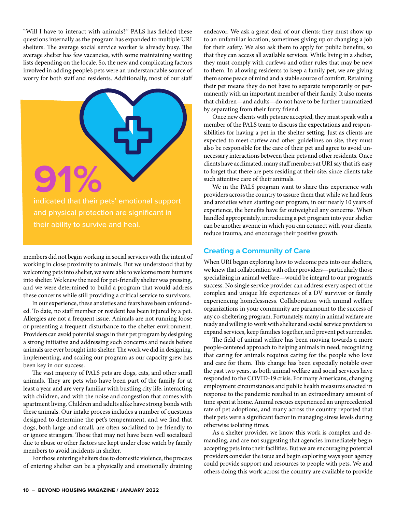"Will I have to interact with animals?" PALS has fielded these questions internally as the program has expanded to multiple URI shelters. The average social service worker is already busy. The average shelter has few vacancies, with some maintaining waiting lists depending on the locale. So, the new and complicating factors involved in adding people's pets were an understandable source of worry for both staff and residents. Additionally, most of our staff



members did not begin working in social services with the intent of working in close proximity to animals. But we understood that by welcoming pets into shelter, we were able to welcome more humans into shelter. We knew the need for pet-friendly shelter was pressing, and we were determined to build a program that would address these concerns while still providing a critical service to survivors.

In our experience, these anxieties and fears have been unfounded. To date, no staff member or resident has been injured by a pet. Allergies are not a frequent issue. Animals are not running loose or presenting a frequent disturbance to the shelter environment. Providers can avoid potential snags in their pet program by designing a strong initiative and addressing such concerns and needs before animals are ever brought into shelter. The work we did in designing, implementing, and scaling our program as our capacity grew has been key in our success.

The vast majority of PALS pets are dogs, cats, and other small animals. They are pets who have been part of the family for at least a year and are very familiar with bustling city life, interacting with children, and with the noise and congestion that comes with apartment living. Children and adults alike have strong bonds with these animals. Our intake process includes a number of questions designed to determine the pet's temperament, and we find that dogs, both large and small, are often socialized to be friendly to or ignore strangers. Those that may not have been well socialized due to abuse or other factors are kept under close watch by family members to avoid incidents in shelter.

For those entering shelters due to domestic violence, the process of entering shelter can be a physically and emotionally draining endeavor. We ask a great deal of our clients: they must show up to an unfamiliar location, sometimes giving up or changing a job for their safety. We also ask them to apply for public benefits, so that they can access all available services. While living in a shelter, they must comply with curfews and other rules that may be new to them. In allowing residents to keep a family pet, we are giving them some peace of mind and a stable source of comfort. Retaining their pet means they do not have to separate temporarily or permanently with an important member of their family. It also means that children—and adults—do not have to be further traumatized by separating from their furry friend.

Once new clients with pets are accepted, they must speak with a member of the PALS team to discuss the expectations and responsibilities for having a pet in the shelter setting. Just as clients are expected to meet curfew and other guidelines on site, they must also be responsible for the care of their pet and agree to avoid unnecessary interactions between their pets and other residents. Once clients have acclimated, many staff members at URI say that it's easy to forget that there are pets residing at their site, since clients take such attentive care of their animals.

We in the PALS program want to share this experience with providers across the country to assure them that while we had fears and anxieties when starting our program, in our nearly 10 years of experience, the benefits have far outweighed any concerns. When handled appropriately, introducing a pet program into your shelter can be another avenue in which you can connect with your clients, reduce trauma, and encourage their positive growth.

#### **Creating a Community of Care**

When URI began exploring how to welcome pets into our shelters, we knew that collaboration with other providers—particularly those specializing in animal welfare—would be integral to our program's success. No single service provider can address every aspect of the complex and unique life experiences of a DV survivor or family experiencing homelessness. Collaboration with animal welfare organizations in your community are paramount to the success of any co-sheltering program. Fortunately, many in animal welfare are ready and willing to work with shelter and social service providers to expand services, keep families together, and prevent pet surrender.

The field of animal welfare has been moving towards a more people-centered approach to helping animals in need, recognizing that caring for animals requires caring for the people who love and care for them. This change has been especially notable over the past two years, as both animal welfare and social services have responded to the COVID-19 crisis. For many Americans, changing employment circumstances and public health measures enacted in response to the pandemic resulted in an extraordinary amount of time spent at home. Animal rescues experienced an unprecedented rate of pet adoptions, and many across the country reported that their pets were a significant factor in managing stress levels during otherwise isolating times.

As a shelter provider, we know this work is complex and demanding, and are not suggesting that agencies immediately begin accepting pets into their facilities. But we are encouraging potential providers consider the issue and begin exploring ways your agency could provide support and resources to people with pets. We and others doing this work across the country are available to provide